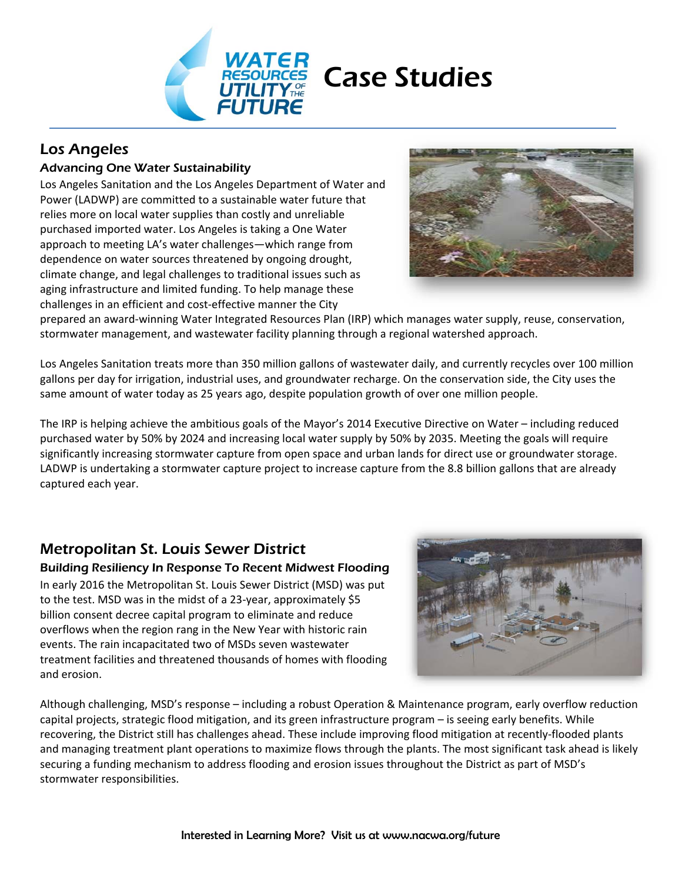

# Los Angeles

### Advancing One Water Sustainability

Los Angeles Sanitation and the Los Angeles Department of Water and Power (LADWP) are committed to a sustainable water future that relies more on local water supplies than costly and unreliable purchased imported water. Los Angeles is taking a One Water approach to meeting LA's water challenges—which range from dependence on water sources threatened by ongoing drought, climate change, and legal challenges to traditional issues such as aging infrastructure and limited funding. To help manage these challenges in an efficient and cost‐effective manner the City



prepared an award‐winning Water Integrated Resources Plan (IRP) which manages water supply, reuse, conservation, stormwater management, and wastewater facility planning through a regional watershed approach.

Los Angeles Sanitation treats more than 350 million gallons of wastewater daily, and currently recycles over 100 million gallons per day for irrigation, industrial uses, and groundwater recharge. On the conservation side, the City uses the same amount of water today as 25 years ago, despite population growth of over one million people.

The IRP is helping achieve the ambitious goals of the Mayor's 2014 Executive Directive on Water – including reduced purchased water by 50% by 2024 and increasing local water supply by 50% by 2035. Meeting the goals will require significantly increasing stormwater capture from open space and urban lands for direct use or groundwater storage. LADWP is undertaking a stormwater capture project to increase capture from the 8.8 billion gallons that are already captured each year.

# Metropolitan St. Louis Sewer District

#### Building Resiliency In Response To Recent Midwest Flooding

In early 2016 the Metropolitan St. Louis Sewer District (MSD) was put to the test. MSD was in the midst of a 23-year, approximately \$5 billion consent decree capital program to eliminate and reduce overflows when the region rang in the New Year with historic rain events. The rain incapacitated two of MSDs seven wastewater treatment facilities and threatened thousands of homes with flooding and erosion.



Although challenging, MSD's response – including a robust Operation & Maintenance program, early overflow reduction capital projects, strategic flood mitigation, and its green infrastructure program – is seeing early benefits. While recovering, the District still has challenges ahead. These include improving flood mitigation at recently‐flooded plants and managing treatment plant operations to maximize flows through the plants. The most significant task ahead is likely securing a funding mechanism to address flooding and erosion issues throughout the District as part of MSD's stormwater responsibilities.